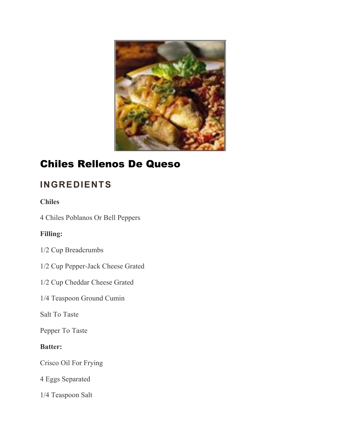

# Chiles Rellenos De Queso

# **INGREDIENTS**

### **Chiles**

4 Chiles Poblanos Or Bell Peppers

### **Filling:**

- 1/2 Cup Breadcrumbs
- 1/2 Cup Pepper-Jack Cheese Grated
- 1/2 Cup Cheddar Cheese Grated
- 1/4 Teaspoon Ground Cumin

Salt To Taste

Pepper To Taste

#### **Batter:**

Crisco Oil For Frying

4 Eggs Separated

1/4 Teaspoon Salt